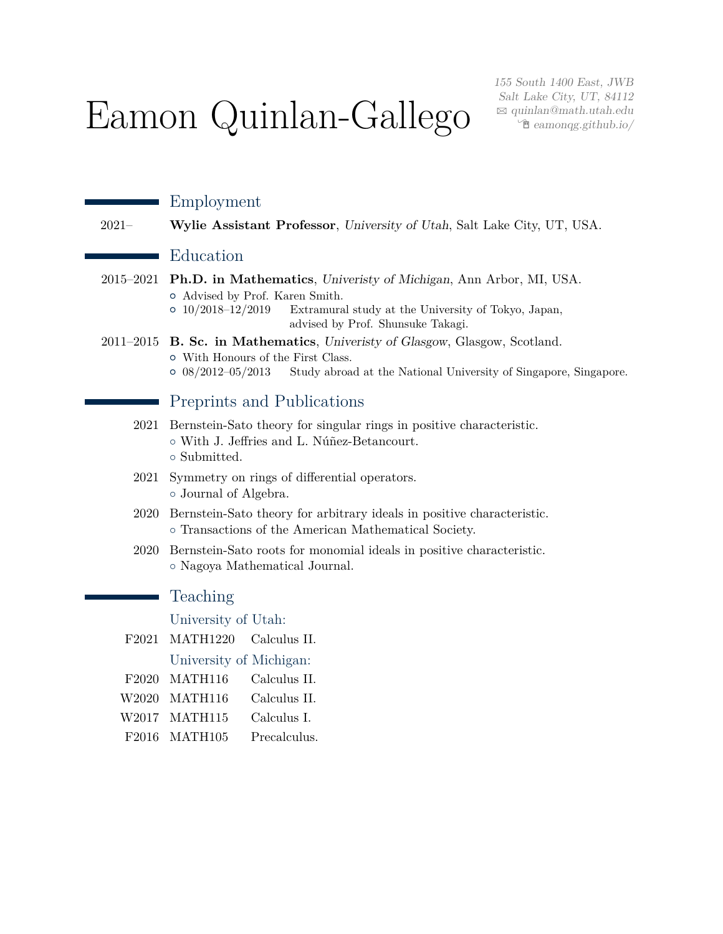# Eamon Quinlan-Gallego

155 South 1400 East, JWB Salt Lake City, UT, 84112  $\boxtimes$  [quinlan@math.utah.edu](mailto:quinlan@math.utah.edu)  $\hat{\Xi}$ [eamonqg.github.io/](http://eamonqg.github.io/)

|                   | Employment                                                                                                                                                                                                              |
|-------------------|-------------------------------------------------------------------------------------------------------------------------------------------------------------------------------------------------------------------------|
| $2021 -$          | Wylie Assistant Professor, University of Utah, Salt Lake City, UT, USA.                                                                                                                                                 |
|                   | Education                                                                                                                                                                                                               |
| 2015-2021         | Ph.D. in Mathematics, University of Michigan, Ann Arbor, MI, USA.<br>o Advised by Prof. Karen Smith.<br>$0$ 10/2018-12/2019<br>Extramural study at the University of Tokyo, Japan,<br>advised by Prof. Shunsuke Takagi. |
|                   | 2011–2015 B. Sc. in Mathematics, University of Glasgow, Glasgow, Scotland.<br>o With Honours of the First Class.<br>$\circ$ 08/2012-05/2013<br>Study abroad at the National University of Singapore, Singapore.         |
|                   | Preprints and Publications                                                                                                                                                                                              |
| 2021              | Bernstein-Sato theory for singular rings in positive characteristic.<br>o With J. Jeffries and L. Núñez-Betancourt.<br>o Submitted.                                                                                     |
| 2021              | Symmetry on rings of differential operators.<br>o Journal of Algebra.                                                                                                                                                   |
|                   | 2020 Bernstein-Sato theory for arbitrary ideals in positive characteristic.<br>o Transactions of the American Mathematical Society.                                                                                     |
| 2020              | Bernstein-Sato roots for monomial ideals in positive characteristic.<br>o Nagoya Mathematical Journal.                                                                                                                  |
|                   | Teaching                                                                                                                                                                                                                |
|                   | University of Utah:                                                                                                                                                                                                     |
| F2021             | <b>MATH1220</b><br>Calculus II.                                                                                                                                                                                         |
|                   | University of Michigan:                                                                                                                                                                                                 |
| F <sub>2020</sub> | MATH116<br>Calculus II.                                                                                                                                                                                                 |
| W2020             | MATH116<br>Calculus II.                                                                                                                                                                                                 |
| W2017             | MATH115<br>Calculus I.                                                                                                                                                                                                  |
| F2016             | MATH105<br>Precalculus.                                                                                                                                                                                                 |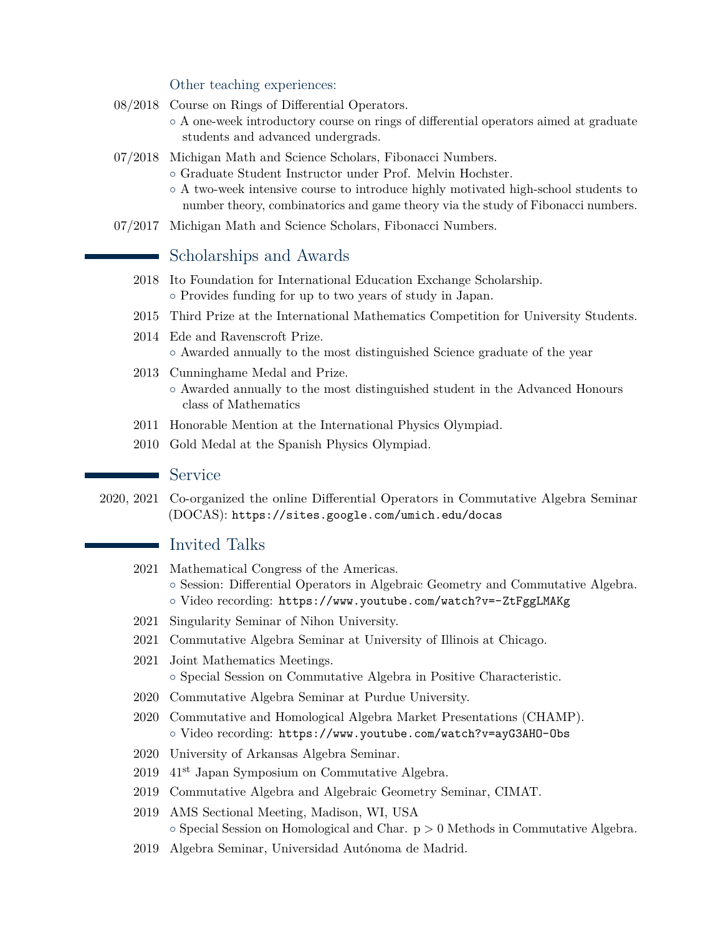#### Other teaching experiences:

- 08/2018 Course on Rings of Differential Operators.
	- A one-week introductory course on rings of differential operators aimed at graduate students and advanced undergrads.
- 07/2018 Michigan Math and Science Scholars, Fibonacci Numbers.
	- Graduate Student Instructor under Prof. Melvin Hochster.
	- A two-week intensive course to introduce highly motivated high-school students to number theory, combinatorics and game theory via the study of Fibonacci numbers.
- 07/2017 Michigan Math and Science Scholars, Fibonacci Numbers.

### Scholarships and Awards

- 2018 Ito Foundation for International Education Exchange Scholarship. ◦ Provides funding for up to two years of study in Japan.
- 2015 Third Prize at the International Mathematics Competition for University Students.
- 2014 Ede and Ravenscroft Prize. ◦ Awarded annually to the most distinguished Science graduate of the year
- 2013 Cunninghame Medal and Prize. ◦ Awarded annually to the most distinguished student in the Advanced Honours class of Mathematics
- 2011 Honorable Mention at the International Physics Olympiad.
- 2010 Gold Medal at the Spanish Physics Olympiad.

#### **Service**

2020, 2021 Co-organized the online Differential Operators in Commutative Algebra Seminar (DOCAS): <https://sites.google.com/umich.edu/docas>

### **I**nvited Talks

- 2021 Mathematical Congress of the Americas. ◦ Session: Differential Operators in Algebraic Geometry and Commutative Algebra. ◦ Video recording: <https://www.youtube.com/watch?v=-ZtFggLMAKg>
- 2021 Singularity Seminar of Nihon University.
- 2021 Commutative Algebra Seminar at University of Illinois at Chicago.
- 2021 Joint Mathematics Meetings. ◦ Special Session on Commutative Algebra in Positive Characteristic.
- 2020 Commutative Algebra Seminar at Purdue University.
- 2020 Commutative and Homological Algebra Market Presentations (CHAMP). ◦ Video recording: <https://www.youtube.com/watch?v=ayG3AHO-Obs>
- 2020 University of Arkansas Algebra Seminar.
- 2019 41st Japan Symposium on Commutative Algebra.
- 2019 Commutative Algebra and Algebraic Geometry Seminar, CIMAT.
- 2019 AMS Sectional Meeting, Madison, WI, USA  $\circ$  Special Session on Homological and Char.  $p > 0$  Methods in Commutative Algebra.
- 2019 Algebra Seminar, Universidad Autónoma de Madrid.